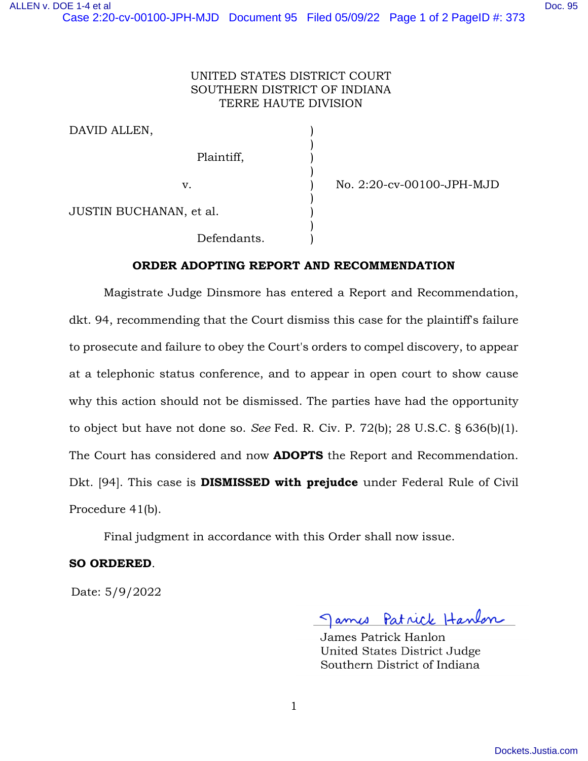## UNITED STATES DISTRICT COURT SOUTHERN DISTRICT OF INDIANA TERRE HAUTE DIVISION

)

)

)

)

| DAVID ALLEN. |  |
|--------------|--|
|              |  |

Plaintiff, )

v. ) No. 2:20-cv-00100-JPH-MJD

JUSTIN BUCHANAN, et al. )

Defendants.

## **ORDER ADOPTING REPORT AND RECOMMENDATION**

Magistrate Judge Dinsmore has entered a Report and Recommendation, dkt. 94, recommending that the Court dismiss this case for the plaintiff's failure to prosecute and failure to obey the Court's orders to compel discovery, to appear at a telephonic status conference, and to appear in open court to show cause why this action should not be dismissed. The parties have had the opportunity to object but have not done so. *See* Fed. R. Civ. P. 72(b); 28 U.S.C. § 636(b)(1). The Court has considered and now **ADOPTS** the Report and Recommendation. Dkt. [94]. This case is **DISMISSED with prejudce** under Federal Rule of Civil Procedure 41(b).

Final judgment in accordance with this Order shall now issue.

## **SO ORDERED**.

Date: 5/9/2022

James Patrick Hanlon

James Patrick Hanlon United States District Judge Southern District of Indiana